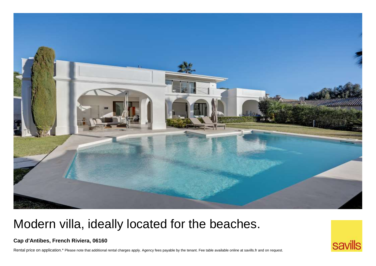

# Modern villa, ideally located for the beaches.

## **Cap d'Antibes, French Riviera, 06160**

Rental price on application.\* Please note that additional rental charges apply. Agency fees payable by the tenant. Fee table available online at savills.fr and on request.

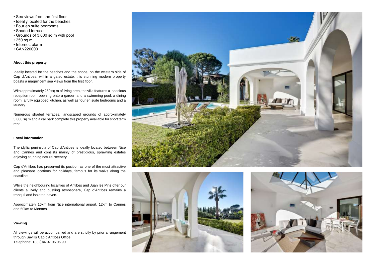- Sea views from the first floor
- Ideally located for the beaches
- Four en suite bedrooms
- Shaded terraces
- Grounds of 3,000 sq m with pool
- 250 sq m
- Internet, alarm
- CAN220003

#### **About this property**

Ideally located for the beaches and the shops, on the western side of Cap d'Antibes, within a gated estate, this stunning modern property boasts a magnificent sea views from the first floor.

With approximately 250 sq m of living area, the villa features a spacious reception room opening onto a garden and a swimming pool, a dining room, a fully equipped kitchen, as well as four en suite bedrooms and a laundry.

Numerous shaded terraces, landscaped grounds of approximately 3,000 sq m and a car park complete this property available for short term rent.

#### **Local information**

The idyllic peninsula of Cap d'Antibes is ideally located between Nice and Cannes and consists mainly of prestigious, sprawling estates enjoying stunning natural scenery.

Cap d'Antibes has preserved its position as one of the most attractive and pleasant locations for holidays, famous for its walks along the coastline.

While the neighbouring localities of Antibes and Juan les Pins offer our clients a lively and bustling atmosphere, Cap d'Antibes remains a tranquil and isolated haven.

Approximately 16km from Nice international airport, 12km to Cannes and 50km to Monaco.

### **Viewing**

All viewings will be accompanied and are strictly by prior arrangement through Savills Cap d'Antibes Office. Telephone: +33 (0)4 97 06 06 90.





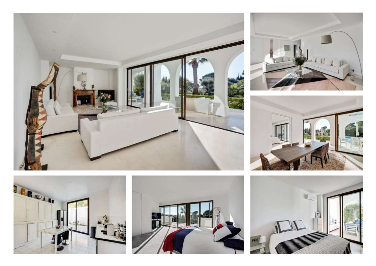